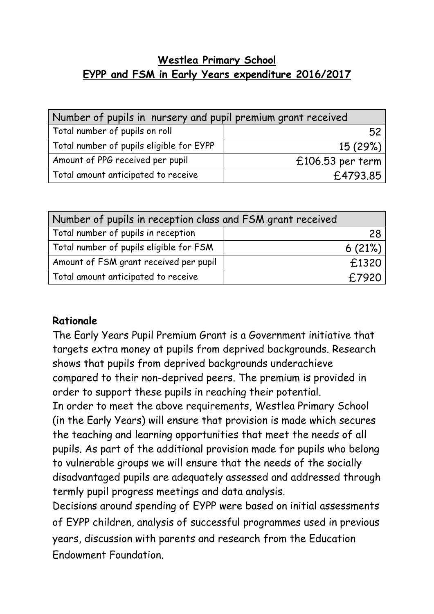## **Westlea Primary School EYPP and FSM in Early Years expenditure 2016/2017**

| Number of pupils in nursery and pupil premium grant received |                    |  |  |  |
|--------------------------------------------------------------|--------------------|--|--|--|
| Total number of pupils on roll                               | 52                 |  |  |  |
| Total number of pupils eligible for EYPP                     | 15(29%)            |  |  |  |
| Amount of PPG received per pupil                             | $£106.53$ per term |  |  |  |
| Total amount anticipated to receive                          | £4793.85           |  |  |  |

| Number of pupils in reception class and FSM grant received |        |  |  |
|------------------------------------------------------------|--------|--|--|
| Total number of pupils in reception                        | 28     |  |  |
| Total number of pupils eligible for FSM                    | 6(21%) |  |  |
| Amount of FSM grant received per pupil                     | £1320  |  |  |
| Total amount anticipated to receive                        | £7920  |  |  |

## **Rationale**

The Early Years Pupil Premium Grant is a Government initiative that targets extra money at pupils from deprived backgrounds. Research shows that pupils from deprived backgrounds underachieve compared to their non-deprived peers. The premium is provided in order to support these pupils in reaching their potential.

In order to meet the above requirements, Westlea Primary School (in the Early Years) will ensure that provision is made which secures the teaching and learning opportunities that meet the needs of all pupils. As part of the additional provision made for pupils who belong to vulnerable groups we will ensure that the needs of the socially disadvantaged pupils are adequately assessed and addressed through termly pupil progress meetings and data analysis.

Decisions around spending of EYPP were based on initial assessments of EYPP children, analysis of successful programmes used in previous years, discussion with parents and research from the Education Endowment Foundation.